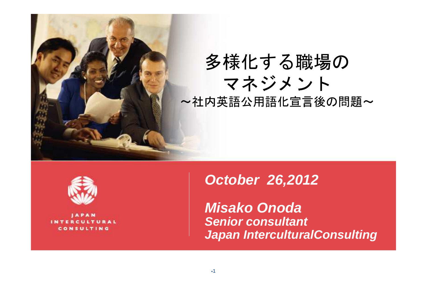



CONSULTING

#### **October 26,2012**

**Misako Onoda Senior consultantJapan InterculturalConsulting**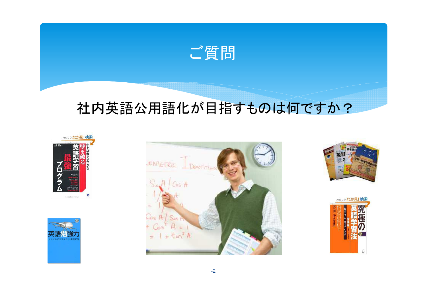

# 社内英語公用語化が目指すものは何ですか?









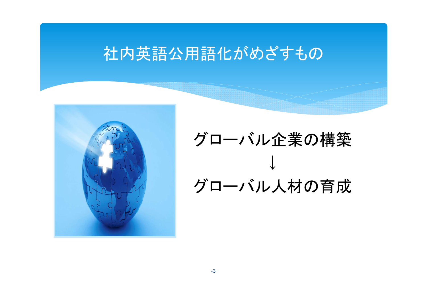# 社内英語公用語化がめざすもの



# グローバル企業の構築↓グローバル人材の育成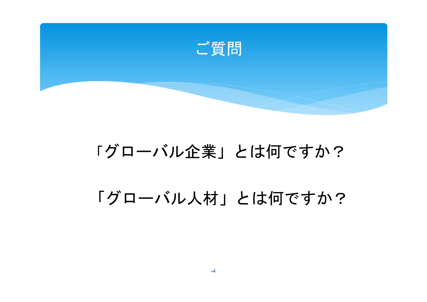

# 「グローバル企業」とは何ですか?

「グローバル人材」とは何ですか?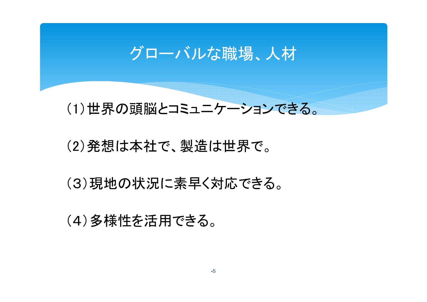# グローバルな職場、人材

#### (1)世界の頭脳とコミュニケーションできる。

#### (2)発想は本社で、製造は世界で。

(3)現地の状況に素早く対応できる。

(4)多様性を活用できる。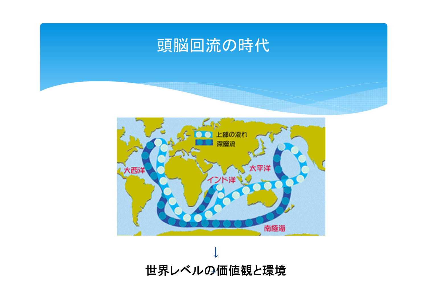# 頭脳回流の時代



↓世界レベルの価値観と環境6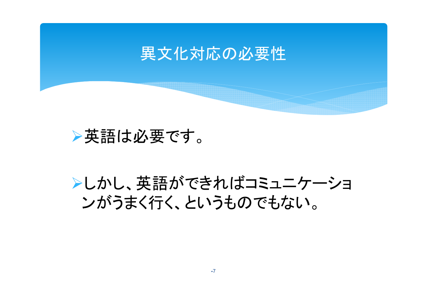

## ▶英語は必要です。

# ▶しかし、英語ができればコミュニケーショ ンがうまく行く、というものでもない。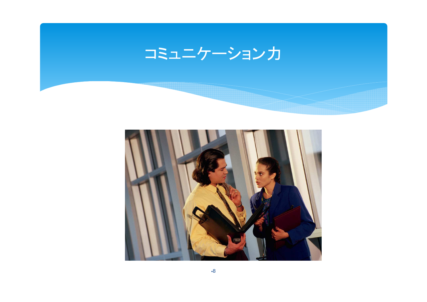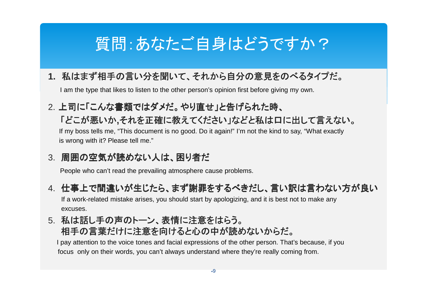# 質問:あなたご自身はどうですか?

#### **1.** 私はまず相手の言い分を聞いて、それから自分の意見をのべるタイプだ。

I am the type that likes to listen to the other person's opinion first before giving my own.

#### 2. 上司に「こんな書類ではダメだ。やり直せ」と告げられた時、「どこが悪いか,それを正確に教えてください」などと私は口に出して言えない。<br>「my boss tells me "This decument is no good. De it again!" I'm not the kind to say "What exactly

If my boss tells me, "This document is no good. Do it again!" I'm not the kind to say, "What exactlyis wrong with it? Please tell me."

#### 3. 周囲の空気が読めない人は、困り者だ

People who can't read the prevailing atmosphere cause problems.

#### 4. 仕事上で間違いが生じたら、まず謝罪をするべきだし、言い訳は言わない方が良い

If a work-related mistake arises, you should start by apologizing, and it is best not to make any excuses.

#### 5. 私は話し手の声のトーン、表情に注意をはらう。

#### 相手の言葉だけに注意を向けると心の中が読めないからだ。

 I pay attention to the voice tones and facial expressions of the other person. That's because, if youfocus only on their words, you can't always understand where they're really coming from.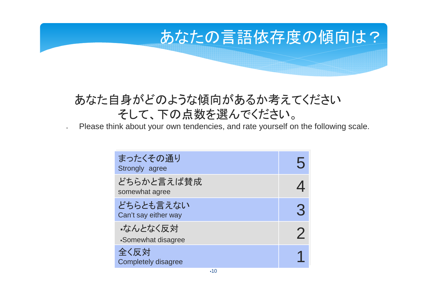# あなたの言語依存度の傾向は?

#### あなた自身がどのような傾向があるか考えてくださいそして、下の点数を選んでください。

Please think about your own tendencies, and rate yourself on the following scale.

| まったくその通り<br>Strongly agree           |   |
|--------------------------------------|---|
| どちらかと言えば賛成<br>somewhat agree         |   |
| どちらとも言えない<br>Can't say either way    | 3 |
| ・なんとなく反対<br><b>Somewhat disagree</b> |   |
| 全く反対<br><b>Completely disagree</b>   |   |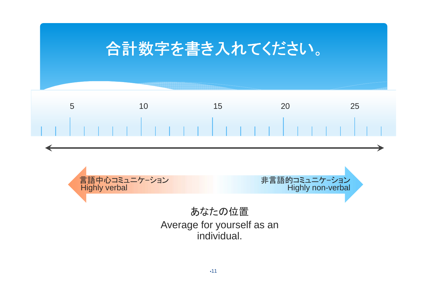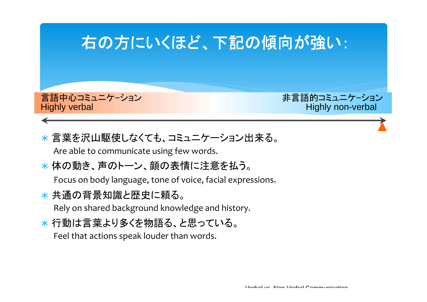

- ∗ 言葉を沢山駆使しなくても、コミュニケーション出来る。Are able to communicate using few words.
- ∗体の動き、声のトーン、顔の表情に注意を払う。

Focus on body language, tone of voice, facial expressions.

- ∗ 共通の背景知識と歴史に頼る。Rely on shared background knowledge and history.
- ∗ 行動は言葉より多くを物語る、と思っている。Feel that actions speak louder than words.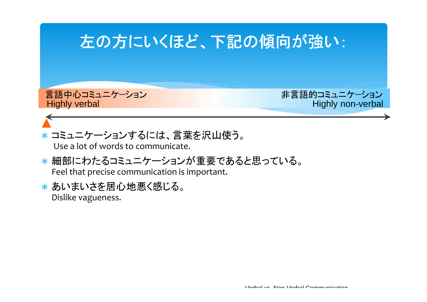

- ∗ コミュニケーションするには、言葉を沢山使う。Use a lot of words to communicate.
- ∗ 細部にわたるコミュニケーションが重要であると思っている。Feel that precise communication is important.
- ∗ あいまいさを居心地悪く感じる。Dislike vagueness.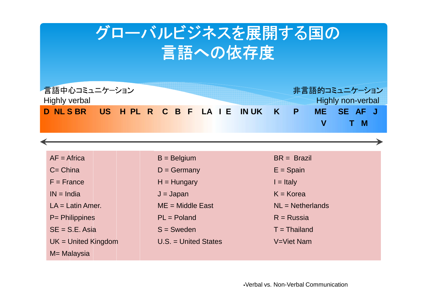# グローバルビジネスを展開する国の言語への依存度



| $AF = Africa$         | $B =$ Belgium          | $BR = Brazil$      |
|-----------------------|------------------------|--------------------|
| $C = China$           | $D =$ Germany          | $E =$ Spain        |
| $F =$ France          | $H = Hungary$          | $I = Italy$        |
| $IN = India$          | $J =$ Japan            | $K = K$ orea       |
| $LA = Latin$ Amer.    | $ME = Middle East$     | $NL = Netherlands$ |
| P= Philippines        | $PL = Poland$          | $R =$ Russia       |
| $SE = S.E. Asia$      | $S =$ Sweden           | $T = Thailand$     |
| $UK = United Kingdom$ | $U.S. = United States$ | V=Viet Nam         |
| M= Malaysia           |                        |                    |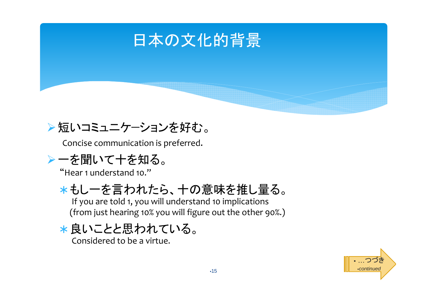

#### ▶短いコミュニケーションを好む。

Concise communication is preferred.

#### -一を聞いて十を知る。

"Hear 1 understand 10."

# ∗ もし一を言われたら、十の意味を推し量る。

If you are told 1, you will understand 10 implications (from just hearing 10% you will figure out the other 90%.)

∗ 良いことと思われている。Considered to be a virtue.

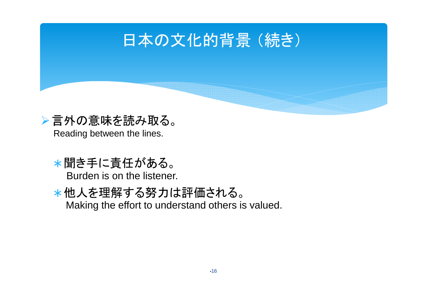# 日本の文化的背景 (続き)



- ∗ 聞き手に責任がある。Burden is on the listener.
- ∗ 他人を理解する努力は評価される。Making the effort to understand others is valued.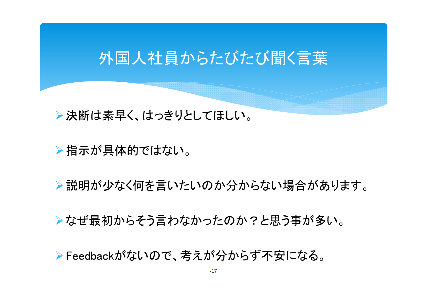# 外国人社員からたびたび聞く言葉

▶決断は素早く、はっきりとしてほしい。

▶指示が具体的ではない。

▶説明が少なく何を言いたいのか分からない場合があります。

▶なぜ最初からそう言わなかったのか?と思う事が多い。

-Feedbackがないので、考えが分からず不安になる。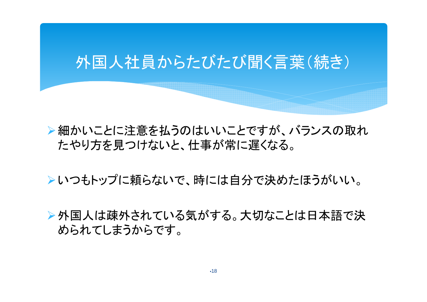# 外国人社員からたびたび聞く言葉(続き)

▶細かいことに注意を払うのはいいことですが、バランスの取れ たやり方を見つけないと、仕事が常に遅くなる。

▶いつもトップに頼らないで、時には自分で決めたほうがいい。

▶外国人は疎外されている気がする。大切なことは日本語で決 められてしまうからです。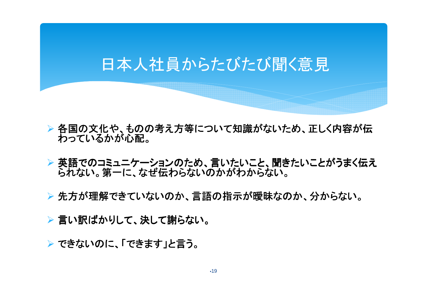# 日本人社員からたびたび聞く意見

- 各国の文化や、ものの考え方等について知識がないため、正しく内容が伝 わっているかが心配。
- 英語でのコミュニケーションのため、言いたいこと、聞きたいことがうまく伝え られない。第一に、なぜ伝わらないのかがわからない。
- ▶ 先方が理解できていないのか、言語の指示が曖昧なのか、分からない。
- ▶ 言い訳ばかりして、決して謝らない。
- <mark>▶ できないのに、「できます」と言う。</mark>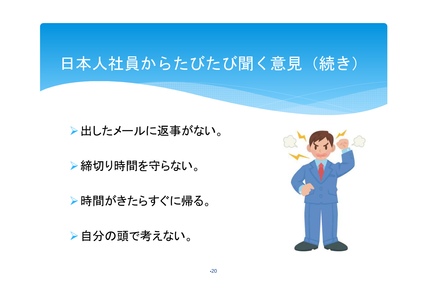# 日本人社員からたびたび聞く意見(続き)

▶出したメールに返事がない。

▶締切り時間を守らない。

-時間がきたらすぐに帰る。

▶自分の頭で考えない。

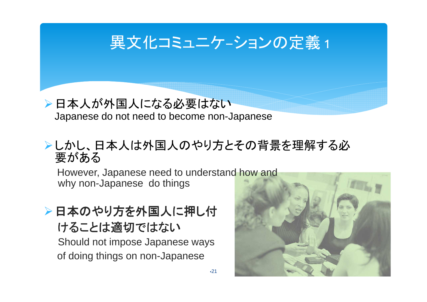

#### ▶日本人が外国人になる必要はない Japanese do not need to become non-Japanese

#### ▶しかし、日本人は外国人のやり方とその背景を理解する必 要がある

21

However, Japanese need to understand how and why non-Japanese do things

#### ▶日本のやり方を外国人に押し付 けることは適切ではない

 Should not impose Japanese ways of doing things on non-Japanese

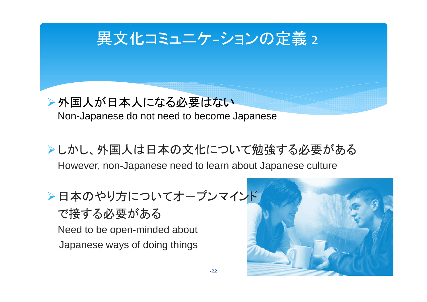

#### ▶外国人が日本人になる必要はない Non-Japanese do not need to become Japanese

- ▶しかし、外国人は日本の文化について勉強する必要がある However, non-Japanese need to learn about Japanese culture
- ▶日本のやり方についてオープンマインド で接する必要がある Need to be open-minded about Japanese ways of doing things

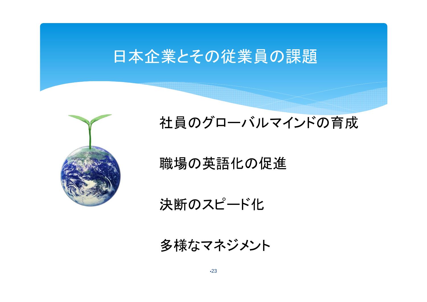# 日本企業とその従業員の課題



社員のグローバルマインドの育成

# 職場の英語化の促進

決断のスピード化

多様なマネジメント